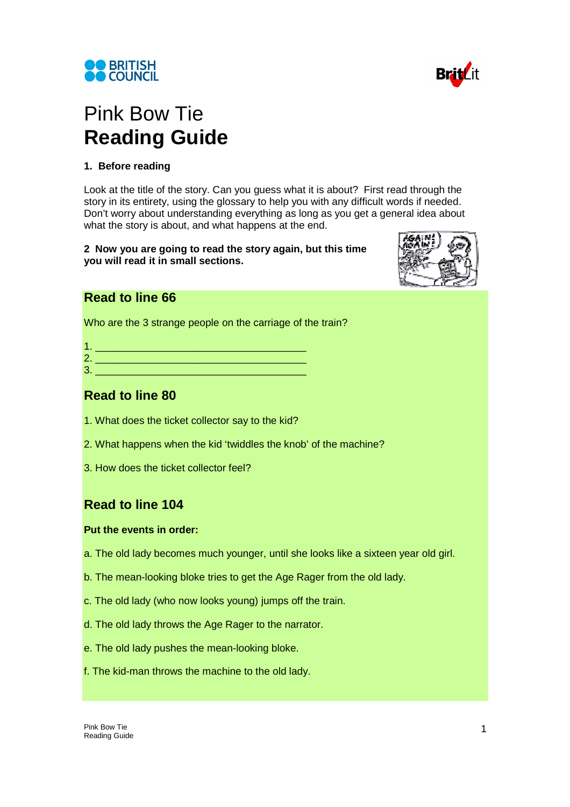



# Pink Bow Tie **Reading Guide**

## **1. Before reading**

Look at the title of the story. Can you guess what it is about? First read through the story in its entirety, using the glossary to help you with any difficult words if needed. Don't worry about understanding everything as long as you get a general idea about what the story is about, and what happens at the end.

**2 Now you are going to read the story again, but this time you will read it in small sections.**



## **Read to line 66**

Who are the 3 strange people on the carriage of the train?

| ╭<br>z |  |
|--------|--|
| c      |  |

| <b>Read to line 80</b> |  |  |
|------------------------|--|--|

- 1. What does the ticket collector say to the kid?
- 2. What happens when the kid 'twiddles the knob' of the machine?
- 3. How does the ticket collector feel?

# **Read to line 104**

#### **Put the events in order:**

- a. The old lady becomes much younger, until she looks like a sixteen year old girl.
- b. The mean-looking bloke tries to get the Age Rager from the old lady.
- c. The old lady (who now looks young) jumps off the train.
- d. The old lady throws the Age Rager to the narrator.
- e. The old lady pushes the mean-looking bloke.
- f. The kid-man throws the machine to the old lady.